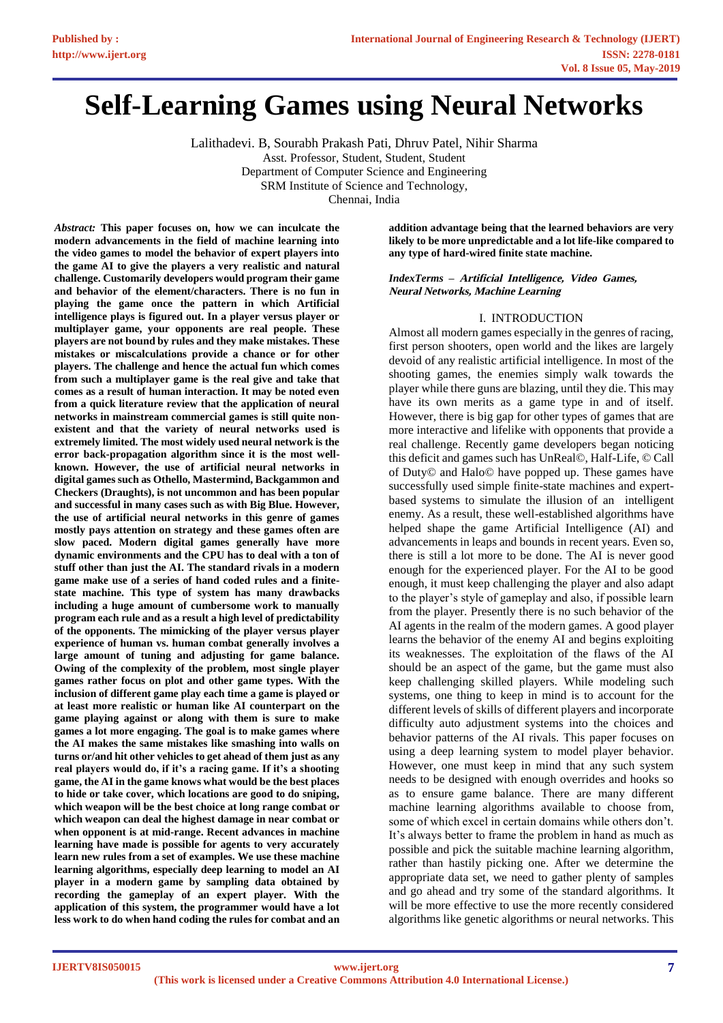# **Self-Learning Games using Neural Networks**

Lalithadevi. B, Sourabh Prakash Pati, Dhruv Patel, Nihir Sharma Asst. Professor, Student, Student, Student Department of Computer Science and Engineering SRM Institute of Science and Technology,

Chennai, India

*Abstract:* **This paper focuses on, how we can inculcate the modern advancements in the field of machine learning into the video games to model the behavior of expert players into the game AI to give the players a very realistic and natural challenge. Customarily developers would program their game and behavior of the element/characters. There is no fun in playing the game once the pattern in which Artificial intelligence plays is figured out. In a player versus player or multiplayer game, your opponents are real people. These players are not bound by rules and they make mistakes. These mistakes or miscalculations provide a chance or for other players. The challenge and hence the actual fun which comes from such a multiplayer game is the real give and take that comes as a result of human interaction. It may be noted even from a quick literature review that the application of neural networks in mainstream commercial games is still quite nonexistent and that the variety of neural networks used is extremely limited. The most widely used neural network is the error back-propagation algorithm since it is the most wellknown. However, the use of artificial neural networks in digital games such as Othello, Mastermind, Backgammon and Checkers (Draughts), is not uncommon and has been popular and successful in many cases such as with Big Blue. However, the use of artificial neural networks in this genre of games mostly pays attention on strategy and these games often are slow paced. Modern digital games generally have more dynamic environments and the CPU has to deal with a ton of stuff other than just the AI. The standard rivals in a modern game make use of a series of hand coded rules and a finitestate machine. This type of system has many drawbacks including a huge amount of cumbersome work to manually program each rule and as a result a high level of predictability of the opponents. The mimicking of the player versus player experience of human vs. human combat generally involves a large amount of tuning and adjusting for game balance. Owing of the complexity of the problem, most single player games rather focus on plot and other game types. With the inclusion of different game play each time a game is played or at least more realistic or human like AI counterpart on the game playing against or along with them is sure to make games a lot more engaging. The goal is to make games where the AI makes the same mistakes like smashing into walls on turns or/and hit other vehicles to get ahead of them just as any real players would do, if it's a racing game. If it's a shooting game, the AI in the game knows what would be the best places to hide or take cover, which locations are good to do sniping, which weapon will be the best choice at long range combat or which weapon can deal the highest damage in near combat or when opponent is at mid-range. Recent advances in machine learning have made is possible for agents to very accurately learn new rules from a set of examples. We use these machine learning algorithms, especially deep learning to model an AI player in a modern game by sampling data obtained by recording the gameplay of an expert player. With the application of this system, the programmer would have a lot less work to do when hand coding the rules for combat and an** 

**addition advantage being that the learned behaviors are very likely to be more unpredictable and a lot life-like compared to any type of hard-wired finite state machine.** 

*IndexTerms* **– Artificial Intelligence, Video Games, Neural Networks, Machine Learning** 

#### I. INTRODUCTION

Almost all modern games especially in the genres of racing, first person shooters, open world and the likes are largely devoid of any realistic artificial intelligence. In most of the shooting games, the enemies simply walk towards the player while there guns are blazing, until they die. This may have its own merits as a game type in and of itself. However, there is big gap for other types of games that are more interactive and lifelike with opponents that provide a real challenge. Recently game developers began noticing this deficit and games such has UnReal©, Half-Life, © Call of Duty© and Halo© have popped up. These games have successfully used simple finite-state machines and expertbased systems to simulate the illusion of an intelligent enemy. As a result, these well-established algorithms have helped shape the game Artificial Intelligence (AI) and advancements in leaps and bounds in recent years. Even so, there is still a lot more to be done. The AI is never good enough for the experienced player. For the AI to be good enough, it must keep challenging the player and also adapt to the player's style of gameplay and also, if possible learn from the player. Presently there is no such behavior of the AI agents in the realm of the modern games. A good player learns the behavior of the enemy AI and begins exploiting its weaknesses. The exploitation of the flaws of the AI should be an aspect of the game, but the game must also keep challenging skilled players. While modeling such systems, one thing to keep in mind is to account for the different levels of skills of different players and incorporate difficulty auto adjustment systems into the choices and behavior patterns of the AI rivals. This paper focuses on using a deep learning system to model player behavior. However, one must keep in mind that any such system needs to be designed with enough overrides and hooks so as to ensure game balance. There are many different machine learning algorithms available to choose from, some of which excel in certain domains while others don't. It's always better to frame the problem in hand as much as possible and pick the suitable machine learning algorithm, rather than hastily picking one. After we determine the appropriate data set, we need to gather plenty of samples and go ahead and try some of the standard algorithms. It will be more effective to use the more recently considered algorithms like genetic algorithms or neural networks. This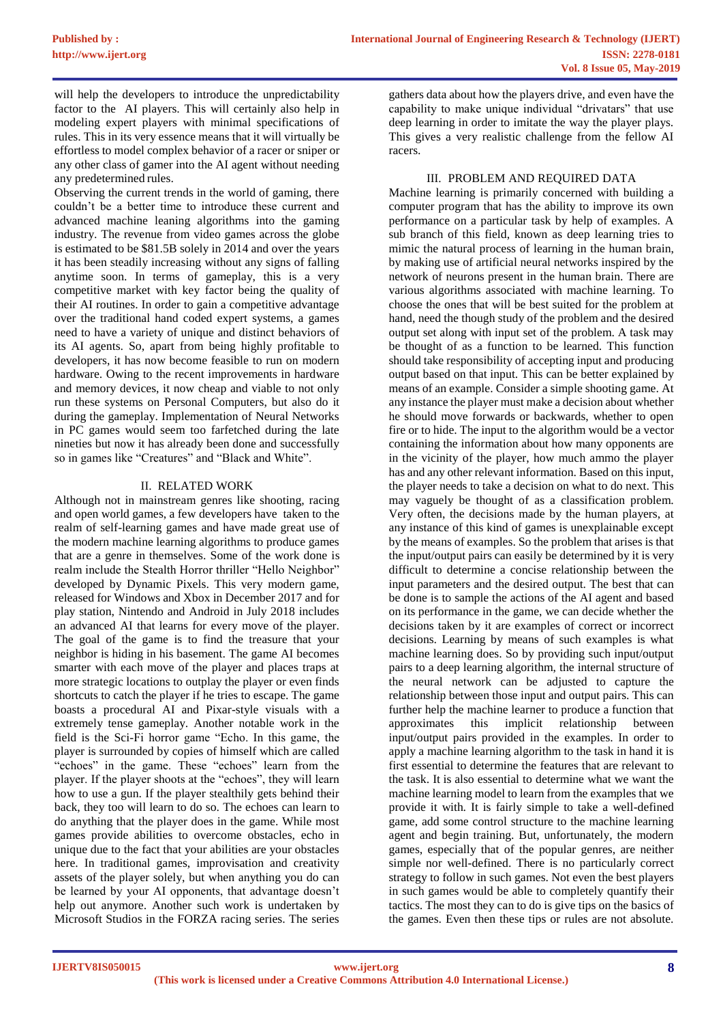will help the developers to introduce the unpredictability factor to the AI players. This will certainly also help in modeling expert players with minimal specifications of rules. This in its very essence means that it will virtually be effortless to model complex behavior of a racer or sniper or any other class of gamer into the AI agent without needing any predetermined rules.

Observing the current trends in the world of gaming, there couldn't be a better time to introduce these current and advanced machine leaning algorithms into the gaming industry. The revenue from video games across the globe is estimated to be \$81.5B solely in 2014 and over the years it has been steadily increasing without any signs of falling anytime soon. In terms of gameplay, this is a very competitive market with key factor being the quality of their AI routines. In order to gain a competitive advantage over the traditional hand coded expert systems, a games need to have a variety of unique and distinct behaviors of its AI agents. So, apart from being highly profitable to developers, it has now become feasible to run on modern hardware. Owing to the recent improvements in hardware and memory devices, it now cheap and viable to not only run these systems on Personal Computers, but also do it during the gameplay. Implementation of Neural Networks in PC games would seem too farfetched during the late nineties but now it has already been done and successfully so in games like "Creatures" and "Black and White".

## II. RELATED WORK

Although not in mainstream genres like shooting, racing and open world games, a few developers have taken to the realm of self-learning games and have made great use of the modern machine learning algorithms to produce games that are a genre in themselves. Some of the work done is realm include the Stealth Horror thriller "Hello Neighbor" developed by Dynamic Pixels. This very modern game, released for Windows and Xbox in December 2017 and for play station, Nintendo and Android in July 2018 includes an advanced AI that learns for every move of the player. The goal of the game is to find the treasure that your neighbor is hiding in his basement. The game AI becomes smarter with each move of the player and places traps at more strategic locations to outplay the player or even finds shortcuts to catch the player if he tries to escape. The game boasts a procedural AI and Pixar-style visuals with a extremely tense gameplay. Another notable work in the field is the Sci-Fi horror game "Echo. In this game, the player is surrounded by copies of himself which are called "echoes" in the game. These "echoes" learn from the player. If the player shoots at the "echoes", they will learn how to use a gun. If the player stealthily gets behind their back, they too will learn to do so. The echoes can learn to do anything that the player does in the game. While most games provide abilities to overcome obstacles, echo in unique due to the fact that your abilities are your obstacles here. In traditional games, improvisation and creativity assets of the player solely, but when anything you do can be learned by your AI opponents, that advantage doesn't help out anymore. Another such work is undertaken by Microsoft Studios in the FORZA racing series. The series

gathers data about how the players drive, and even have the capability to make unique individual "drivatars" that use deep learning in order to imitate the way the player plays. This gives a very realistic challenge from the fellow AI racers.

## III. PROBLEM AND REQUIRED DATA

Machine learning is primarily concerned with building a computer program that has the ability to improve its own performance on a particular task by help of examples. A sub branch of this field, known as deep learning tries to mimic the natural process of learning in the human brain, by making use of artificial neural networks inspired by the network of neurons present in the human brain. There are various algorithms associated with machine learning. To choose the ones that will be best suited for the problem at hand, need the though study of the problem and the desired output set along with input set of the problem. A task may be thought of as a function to be learned. This function should take responsibility of accepting input and producing output based on that input. This can be better explained by means of an example. Consider a simple shooting game. At any instance the player must make a decision about whether he should move forwards or backwards, whether to open fire or to hide. The input to the algorithm would be a vector containing the information about how many opponents are in the vicinity of the player, how much ammo the player has and any other relevant information. Based on this input, the player needs to take a decision on what to do next. This may vaguely be thought of as a classification problem. Very often, the decisions made by the human players, at any instance of this kind of games is unexplainable except by the means of examples. So the problem that arises is that the input/output pairs can easily be determined by it is very difficult to determine a concise relationship between the input parameters and the desired output. The best that can be done is to sample the actions of the AI agent and based on its performance in the game, we can decide whether the decisions taken by it are examples of correct or incorrect decisions. Learning by means of such examples is what machine learning does. So by providing such input/output pairs to a deep learning algorithm, the internal structure of the neural network can be adjusted to capture the relationship between those input and output pairs. This can further help the machine learner to produce a function that approximates this implicit relationship between input/output pairs provided in the examples. In order to apply a machine learning algorithm to the task in hand it is first essential to determine the features that are relevant to the task. It is also essential to determine what we want the machine learning model to learn from the examples that we provide it with. It is fairly simple to take a well-defined game, add some control structure to the machine learning agent and begin training. But, unfortunately, the modern games, especially that of the popular genres, are neither simple nor well-defined. There is no particularly correct strategy to follow in such games. Not even the best players in such games would be able to completely quantify their tactics. The most they can to do is give tips on the basics of the games. Even then these tips or rules are not absolute.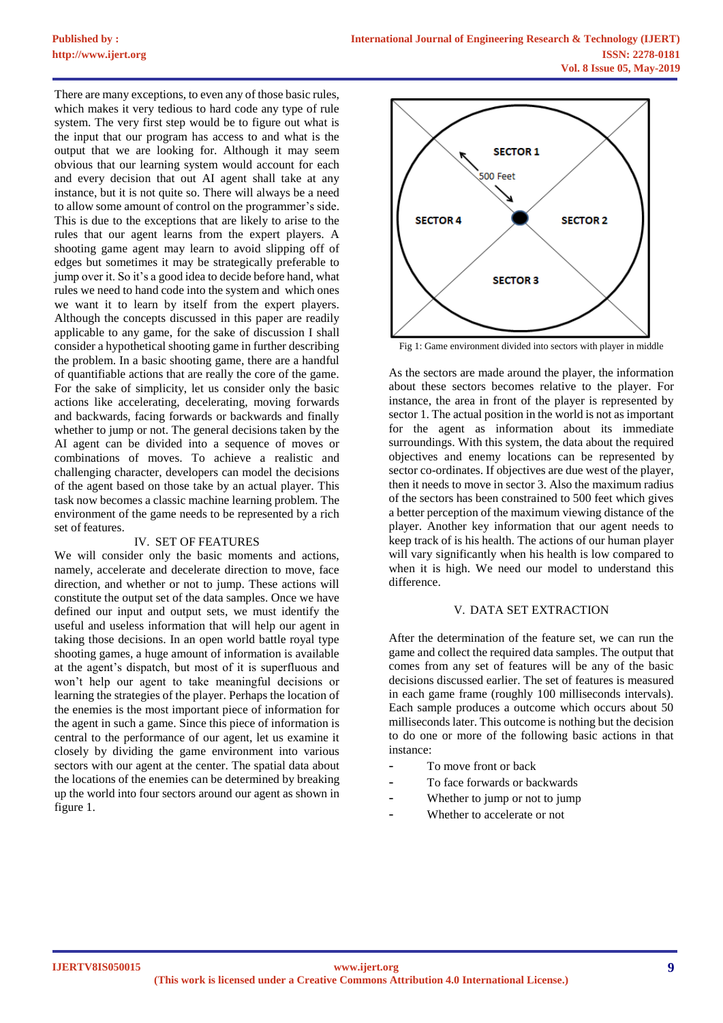There are many exceptions, to even any of those basic rules, which makes it very tedious to hard code any type of rule system. The very first step would be to figure out what is the input that our program has access to and what is the output that we are looking for. Although it may seem obvious that our learning system would account for each and every decision that out AI agent shall take at any instance, but it is not quite so. There will always be a need to allow some amount of control on the programmer's side. This is due to the exceptions that are likely to arise to the rules that our agent learns from the expert players. A shooting game agent may learn to avoid slipping off of edges but sometimes it may be strategically preferable to jump over it. So it's a good idea to decide before hand, what rules we need to hand code into the system and which ones we want it to learn by itself from the expert players. Although the concepts discussed in this paper are readily applicable to any game, for the sake of discussion I shall consider a hypothetical shooting game in further describing the problem. In a basic shooting game, there are a handful of quantifiable actions that are really the core of the game. For the sake of simplicity, let us consider only the basic actions like accelerating, decelerating, moving forwards and backwards, facing forwards or backwards and finally whether to jump or not. The general decisions taken by the AI agent can be divided into a sequence of moves or combinations of moves. To achieve a realistic and challenging character, developers can model the decisions of the agent based on those take by an actual player. This task now becomes a classic machine learning problem. The environment of the game needs to be represented by a rich set of features.

### IV. SET OF FEATURES

We will consider only the basic moments and actions, namely, accelerate and decelerate direction to move, face direction, and whether or not to jump. These actions will constitute the output set of the data samples. Once we have defined our input and output sets, we must identify the useful and useless information that will help our agent in taking those decisions. In an open world battle royal type shooting games, a huge amount of information is available at the agent's dispatch, but most of it is superfluous and won't help our agent to take meaningful decisions or learning the strategies of the player. Perhaps the location of the enemies is the most important piece of information for the agent in such a game. Since this piece of information is central to the performance of our agent, let us examine it closely by dividing the game environment into various sectors with our agent at the center. The spatial data about the locations of the enemies can be determined by breaking up the world into four sectors around our agent as shown in figure 1.



Fig 1: Game environment divided into sectors with player in middle

As the sectors are made around the player, the information about these sectors becomes relative to the player. For instance, the area in front of the player is represented by sector 1. The actual position in the world is not as important for the agent as information about its immediate surroundings. With this system, the data about the required objectives and enemy locations can be represented by sector co-ordinates. If objectives are due west of the player, then it needs to move in sector 3. Also the maximum radius of the sectors has been constrained to 500 feet which gives a better perception of the maximum viewing distance of the player. Another key information that our agent needs to keep track of is his health. The actions of our human player will vary significantly when his health is low compared to when it is high. We need our model to understand this difference.

#### V. DATA SET EXTRACTION

After the determination of the feature set, we can run the game and collect the required data samples. The output that comes from any set of features will be any of the basic decisions discussed earlier. The set of features is measured in each game frame (roughly 100 milliseconds intervals). Each sample produces a outcome which occurs about 50 milliseconds later. This outcome is nothing but the decision to do one or more of the following basic actions in that instance:

- To move front or back
- To face forwards or backwards
- Whether to jump or not to jump
- Whether to accelerate or not